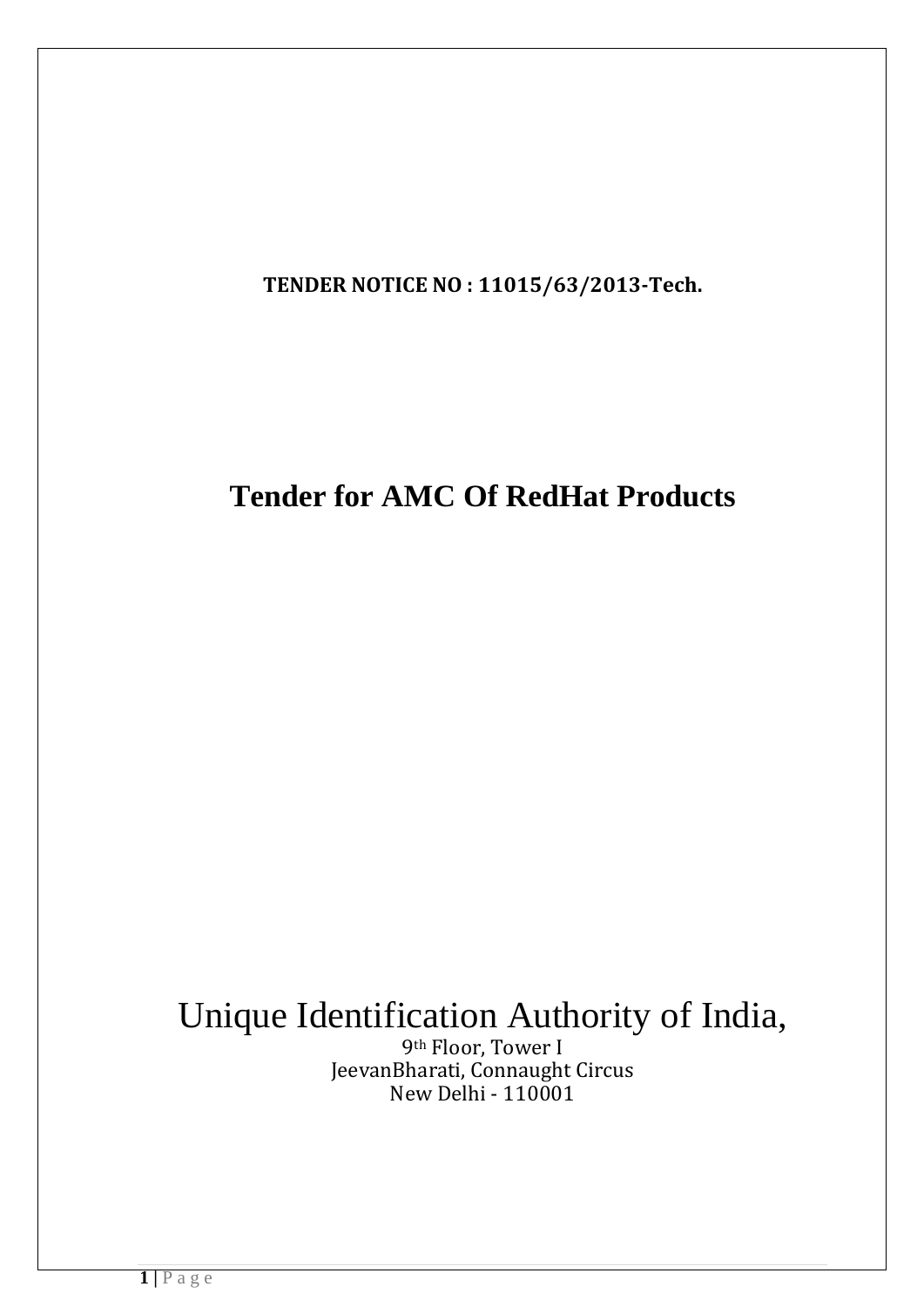**TENDER NOTICE NO : 11015/63/2013-Tech.**

## **Tender for AMC Of RedHat Products**

# Unique Identification Authority of India,

9th Floor, Tower I JeevanBharati, Connaught Circus New Delhi - 110001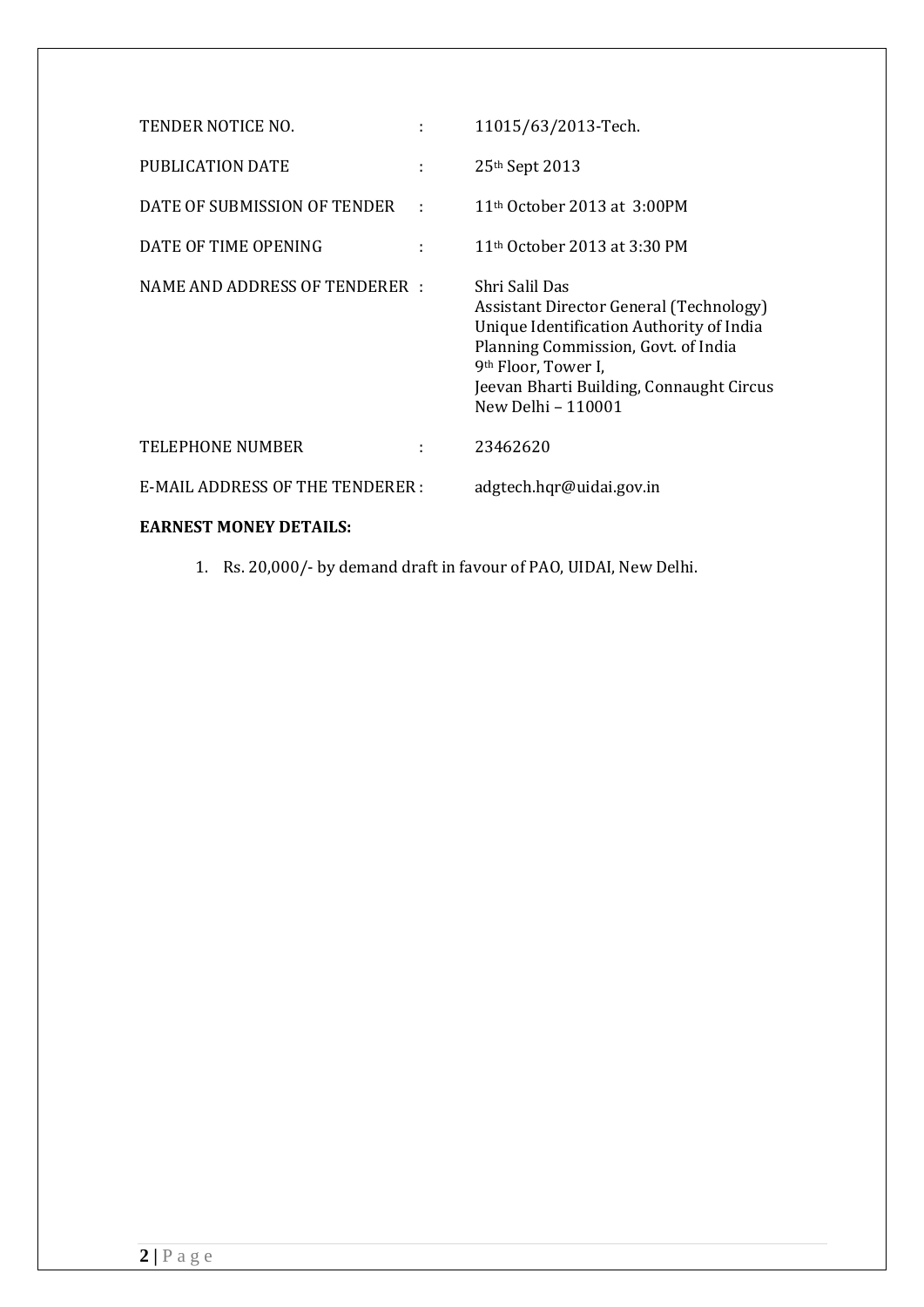| TENDER NOTICE NO.                      | ÷ | 11015/63/2013-Tech.                                                                                                                                                                                                                               |
|----------------------------------------|---|---------------------------------------------------------------------------------------------------------------------------------------------------------------------------------------------------------------------------------------------------|
| PUBLICATION DATE                       | t | 25 <sup>th</sup> Sept 2013                                                                                                                                                                                                                        |
| DATE OF SUBMISSION OF TENDER           |   | 11 <sup>th</sup> October 2013 at 3:00PM                                                                                                                                                                                                           |
| DATE OF TIME OPENING                   |   | 11 <sup>th</sup> October 2013 at 3:30 PM                                                                                                                                                                                                          |
| NAME AND ADDRESS OF TENDERER :         |   | Shri Salil Das<br>Assistant Director General (Technology)<br>Unique Identification Authority of India<br>Planning Commission, Govt. of India<br>9 <sup>th</sup> Floor, Tower I,<br>Jeevan Bharti Building, Connaught Circus<br>New Delhi - 110001 |
| <b>TELEPHONE NUMBER</b>                |   | 23462620                                                                                                                                                                                                                                          |
| <b>E-MAIL ADDRESS OF THE TENDERER:</b> |   | adgtech.hqr@uidai.gov.in                                                                                                                                                                                                                          |
| <b>EARNEST MONEY DETAILS:</b>          |   |                                                                                                                                                                                                                                                   |

1. Rs. 20,000/- by demand draft in favour of PAO, UIDAI, New Delhi.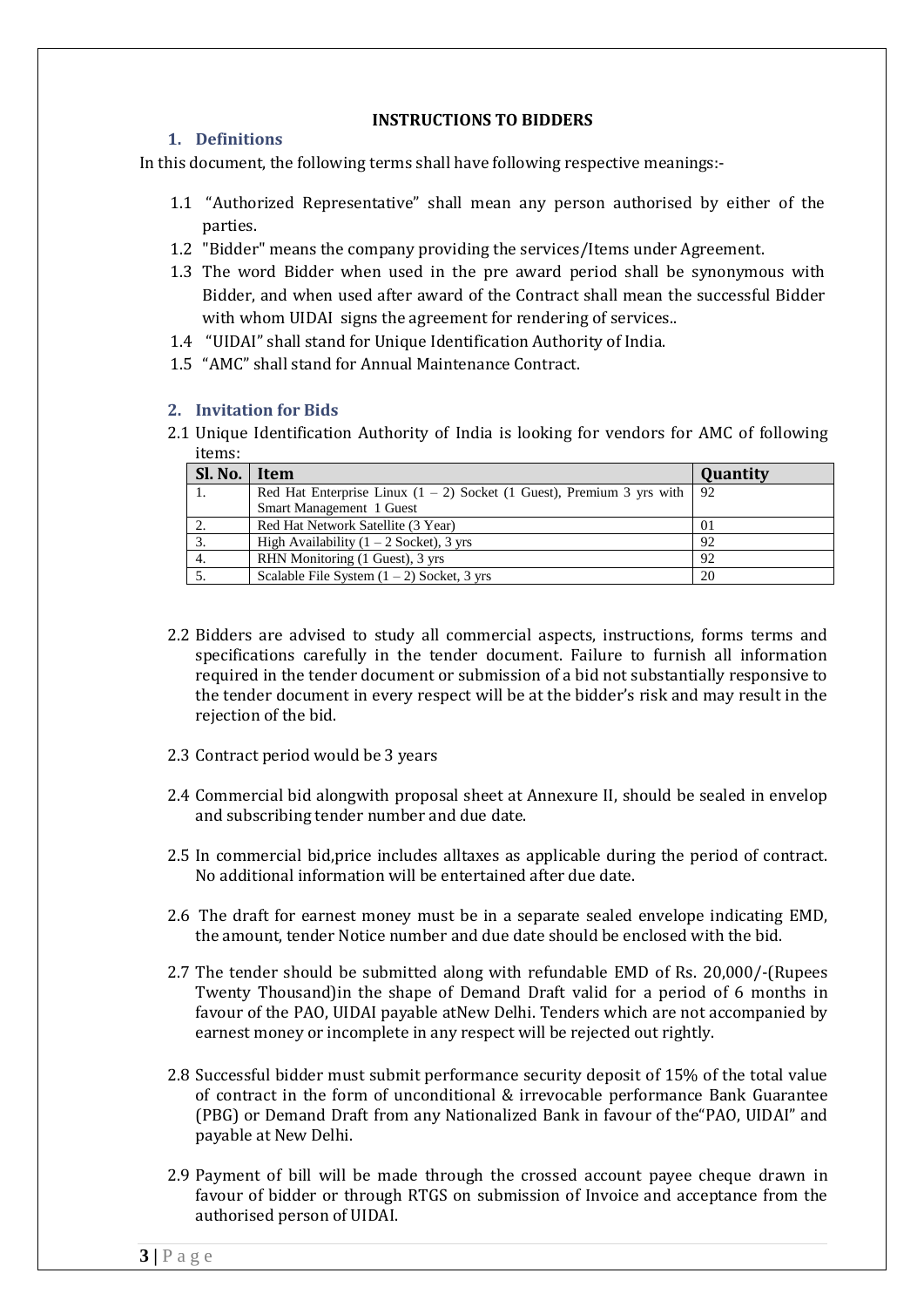#### **INSTRUCTIONS TO BIDDERS**

#### **1. Definitions**

In this document, the following terms shall have following respective meanings:-

- 1.1 "Authorized Representative" shall mean any person authorised by either of the parties.
- 1.2 "Bidder" means the company providing the services/Items under Agreement.
- 1.3 The word Bidder when used in the pre award period shall be synonymous with Bidder, and when used after award of the Contract shall mean the successful Bidder with whom UIDAI signs the agreement for rendering of services..
- 1.4 "UIDAI" shall stand for Unique Identification Authority of India.
- 1.5 "AMC" shall stand for Annual Maintenance Contract.

#### **2. Invitation for Bids**

2.1 Unique Identification Authority of India is looking for vendors for AMC of following items:

| Sl. No. | Item                                                                      | Quantity |
|---------|---------------------------------------------------------------------------|----------|
| 1.      | Red Hat Enterprise Linux $(1 – 2)$ Socket $(1$ Guest), Premium 3 yrs with | -92      |
|         | Smart Management 1 Guest                                                  |          |
|         | Red Hat Network Satellite (3 Year)                                        | 01       |
|         | High Availability $(1 – 2$ Socket), 3 yrs                                 | 92       |
| 4.      | RHN Monitoring (1 Guest), 3 yrs                                           | 92       |
|         | Scalable File System $(1 – 2)$ Socket, 3 yrs                              | 20       |

- 2.2 Bidders are advised to study all commercial aspects, instructions, forms terms and specifications carefully in the tender document. Failure to furnish all information required in the tender document or submission of a bid not substantially responsive to the tender document in every respect will be at the bidder's risk and may result in the rejection of the bid.
- 2.3 Contract period would be 3 years
- 2.4 Commercial bid alongwith proposal sheet at Annexure II, should be sealed in envelop and subscribing tender number and due date.
- 2.5 In commercial bid,price includes alltaxes as applicable during the period of contract. No additional information will be entertained after due date.
- 2.6 The draft for earnest money must be in a separate sealed envelope indicating EMD, the amount, tender Notice number and due date should be enclosed with the bid.
- 2.7 The tender should be submitted along with refundable EMD of Rs. 20,000/-(Rupees Twenty Thousand)in the shape of Demand Draft valid for a period of 6 months in favour of the PAO, UIDAI payable atNew Delhi. Tenders which are not accompanied by earnest money or incomplete in any respect will be rejected out rightly.
- 2.8 Successful bidder must submit performance security deposit of 15% of the total value of contract in the form of unconditional & irrevocable performance Bank Guarantee (PBG) or Demand Draft from any Nationalized Bank in favour of the"PAO, UIDAI" and payable at New Delhi.
- 2.9 Payment of bill will be made through the crossed account payee cheque drawn in favour of bidder or through RTGS on submission of Invoice and acceptance from the authorised person of UIDAI.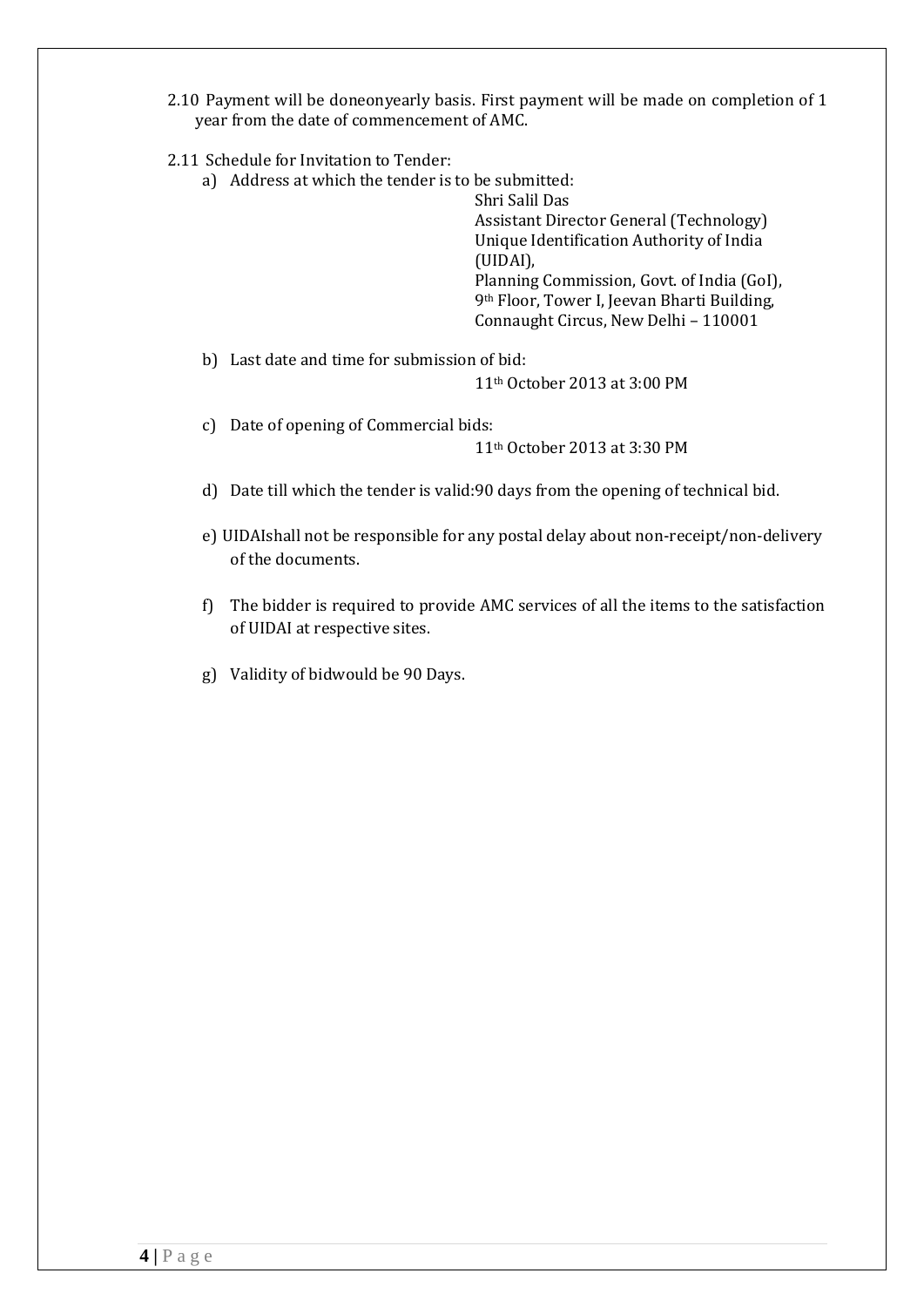- 2.10 Payment will be doneonyearly basis. First payment will be made on completion of 1 year from the date of commencement of AMC.
- 2.11 Schedule for Invitation to Tender:
	- a) Address at which the tender is to be submitted:

Shri Salil Das Assistant Director General (Technology) Unique Identification Authority of India (UIDAI), Planning Commission, Govt. of India (GoI), 9th Floor, Tower I, Jeevan Bharti Building, Connaught Circus, New Delhi – 110001

b) Last date and time for submission of bid:

11th October 2013 at 3:00 PM

c) Date of opening of Commercial bids:

11th October 2013 at 3:30 PM

- d) Date till which the tender is valid:90 days from the opening of technical bid.
- e) UIDAIshall not be responsible for any postal delay about non-receipt/non-delivery of the documents.
- f) The bidder is required to provide AMC services of all the items to the satisfaction of UIDAI at respective sites.
- g) Validity of bidwould be 90 Days.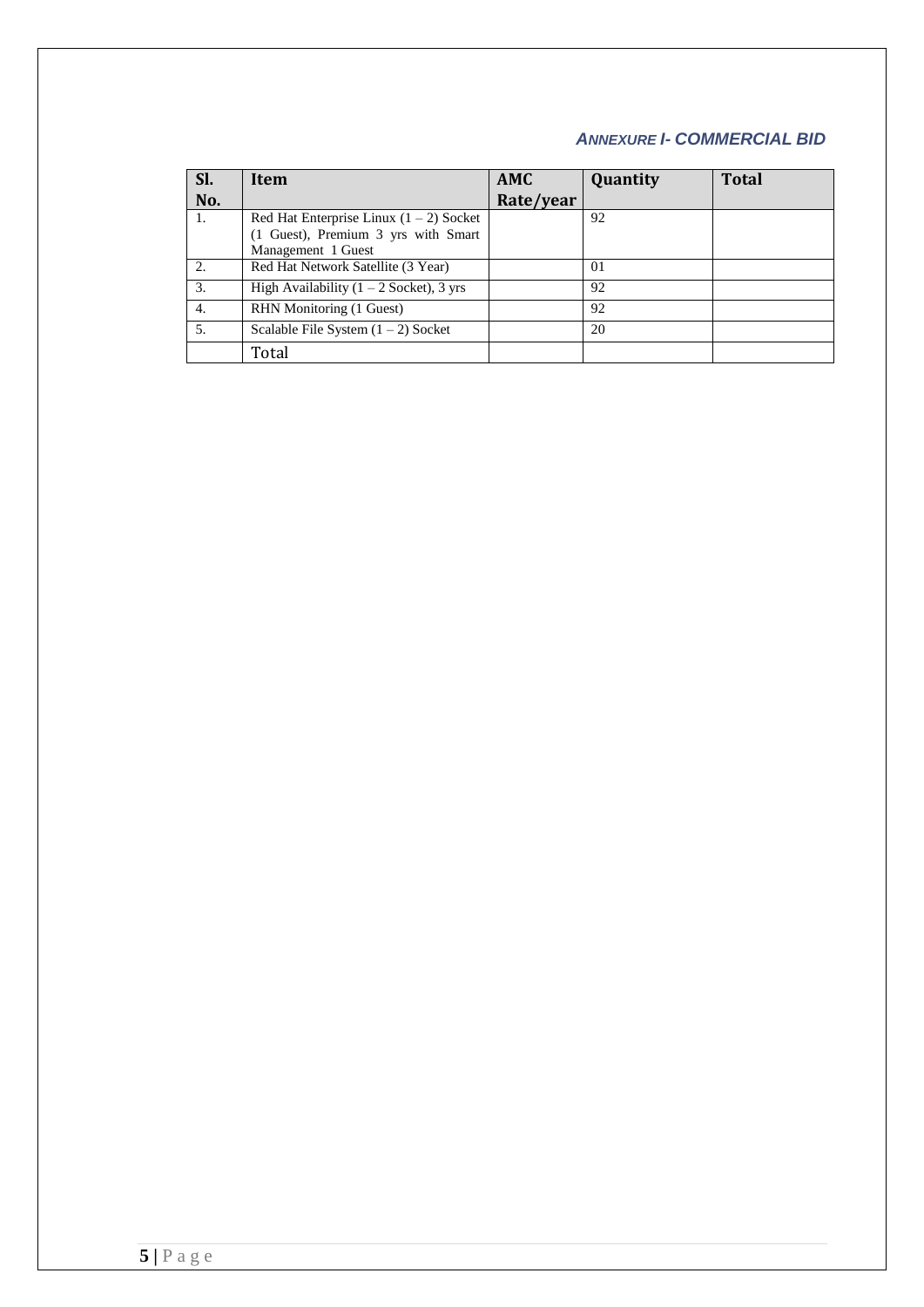### *ANNEXURE I- COMMERCIAL BID*

| Sl.<br>No. | Item                                                                                                   | <b>AMC</b><br>Rate/year | Quantity | <b>Total</b> |
|------------|--------------------------------------------------------------------------------------------------------|-------------------------|----------|--------------|
| 1.         | Red Hat Enterprise Linux $(1 – 2)$ Socket<br>(1 Guest), Premium 3 yrs with Smart<br>Management 1 Guest |                         | 92       |              |
| 2.         | Red Hat Network Satellite (3 Year)                                                                     |                         | 01       |              |
| 3.         | High Availability $(1 – 2$ Socket), 3 yrs                                                              |                         | 92       |              |
| 4.         | RHN Monitoring (1 Guest)                                                                               |                         | 92       |              |
| 5.         | Scalable File System $(1 – 2)$ Socket                                                                  |                         | 20       |              |
|            | Total                                                                                                  |                         |          |              |